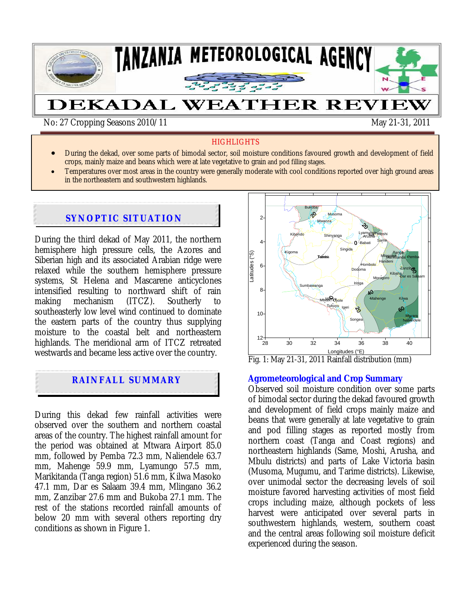

No: 27 Cropping Seasons 2010/11 May 21-31, 2011

## **HIGHLIGHTS**

- During the dekad, over some parts of bimodal sector, soil moisture conditions favoured growth and development of field crops, mainly maize and beans which were at late vegetative to grain and pod filling stages.
- Temperatures over most areas in the country were generally moderate with cool conditions reported over high ground areas in the northeastern and southwestern highlands.

## **SYNOPTIC SITUATION**

During the third dekad of May 2011, the northern hemisphere high pressure cells, the Azores and Siberian high and its associated Arabian ridge were relaxed while the southern hemisphere pressure systems, St Helena and Mascarene anticyclones intensified resulting to northward shift of rain making mechanism (ITCZ). Southerly to southeasterly low level wind continued to dominate the eastern parts of the country thus supplying moisture to the coastal belt and northeastern highlands. The meridional arm of ITCZ retreated westwards and became less active over the country.

# **RAINFALL SUMMARY**

During this dekad few rainfall activities were observed over the southern and northern coastal areas of the country. The highest rainfall amount for the period was obtained at Mtwara Airport 85.0 mm, followed by Pemba 72.3 mm, Naliendele 63.7 mm, Mahenge 59.9 mm, Lyamungo 57.5 mm, Marikitanda (Tanga region) 51.6 mm, Kilwa Masoko 47.1 mm, Dar es Salaam 39.4 mm, Mlingano 36.2 mm, Zanzibar 27.6 mm and Bukoba 27.1 mm. The rest of the stations recorded rainfall amounts of below 20 mm with several others reporting dry conditions as shown in Figure 1.

Bukoba Musoma 2 Mwanza Lyamungo<br>Lyamungo Kibondo Shinyanga 2 Lyamungga Moshi Shinyanga Arusha **Same** 4 Babati **Singida** Kigoma Latitudes (°S) Tanga Mlingano Tabora **Tafonbia**<br>Banga<br>Tukuyu<br>Tukuyu Pemba Marikitanda atitudes Handeni Hombolo 6 Zanzibar Dodoma Kibaha **D**ar es Salaam Morogoro Iringa Sumbawanga 8 Mbeya Mahenge Kilwa Mbozi Uyole Igeri 10 **Mtwara** Songea Naliendele  $^{12+}_{28}$ 28 30 32 34 36 38 40 Longitudes (°E)

Fig. 1: May 21-31, 2011 Rainfall distribution (mm)

#### **Agrometeorological and Crop Summary**

Observed soil moisture condition over some parts of bimodal sector during the dekad favoured growth and development of field crops mainly maize and beans that were generally at late vegetative to grain and pod filling stages as reported mostly from northern coast (Tanga and Coast regions) and northeastern highlands (Same, Moshi, Arusha, and Mbulu districts) and parts of Lake Victoria basin (Musoma, Mugumu, and Tarime districts). Likewise, over unimodal sector the decreasing levels of soil moisture favored harvesting activities of most field crops including maize, although pockets of less harvest were anticipated over several parts in southwestern highlands, western, southern coast and the central areas following soil moisture deficit experienced during the season.